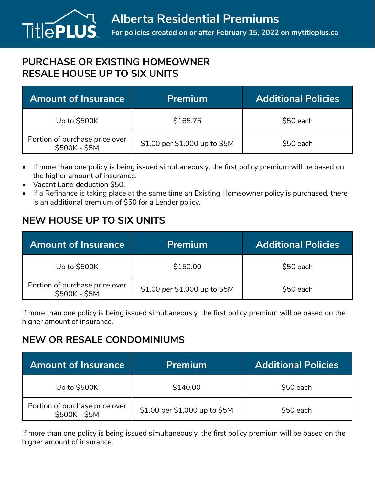

## **PURCHASE OR EXISTING HOMEOWNER RESALE HOUSE UP TO SIX UNITS**

| <b>Amount of Insurance</b>                      | <b>Premium</b>                | <b>Additional Policies</b> |
|-------------------------------------------------|-------------------------------|----------------------------|
| Up to $$500K$                                   | \$165.75                      | \$50 each                  |
| Portion of purchase price over<br>\$500K - \$5M | \$1.00 per \$1,000 up to \$5M | \$50 each                  |

- If more than one policy is being issued simultaneously, the first policy premium will be based on the higher amount of insurance.
- Vacant Land deduction \$50.
- If a Refinance is taking place at the same time an Existing Homeowner policy is purchased, there is an additional premium of \$50 for a Lender policy.

## **NEW HOUSE UP TO SIX UNITS**

| <b>Amount of Insurance</b>                      | <b>Premium</b>                | <b>Additional Policies</b> |
|-------------------------------------------------|-------------------------------|----------------------------|
| Up to \$500K                                    | \$150.00                      | \$50 each                  |
| Portion of purchase price over<br>\$500K - \$5M | \$1.00 per \$1,000 up to \$5M | \$50 each                  |

If more than one policy is being issued simultaneously, the first policy premium will be based on the higher amount of insurance.

## **NEW OR RESALE CONDOMINIUMS**

| <b>Amount of Insurance</b>                      | <b>Premium</b>                | <b>Additional Policies</b> |
|-------------------------------------------------|-------------------------------|----------------------------|
| Up to $$500K$                                   | \$140.00                      | \$50 each                  |
| Portion of purchase price over<br>\$500K - \$5M | \$1.00 per \$1,000 up to \$5M | \$50 each                  |

If more than one policy is being issued simultaneously, the first policy premium will be based on the higher amount of insurance.